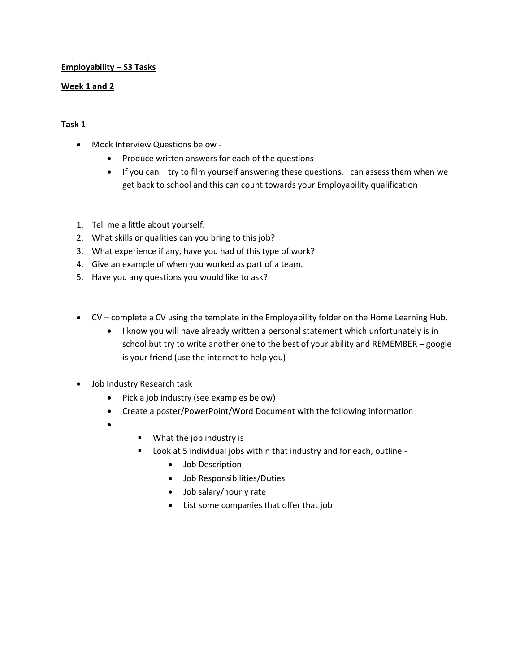## **Employability – S3 Tasks**

## **Week 1 and 2**

## **Task 1**

- Mock Interview Questions below
	- Produce written answers for each of the questions
	- If you can try to film yourself answering these questions. I can assess them when we get back to school and this can count towards your Employability qualification
- 1. Tell me a little about yourself.
- 2. What skills or qualities can you bring to this job?
- 3. What experience if any, have you had of this type of work?
- 4. Give an example of when you worked as part of a team.
- 5. Have you any questions you would like to ask?
- CV complete a CV using the template in the Employability folder on the Home Learning Hub.
	- I know you will have already written a personal statement which unfortunately is in school but try to write another one to the best of your ability and REMEMBER – google is your friend (use the internet to help you)
- Job Industry Research task
	- Pick a job industry (see examples below)
	- Create a poster/PowerPoint/Word Document with the following information
	- •
- What the job industry is
- Look at 5 individual jobs within that industry and for each, outline
	- Job Description
	- Job Responsibilities/Duties
	- Job salary/hourly rate
	- List some companies that offer that job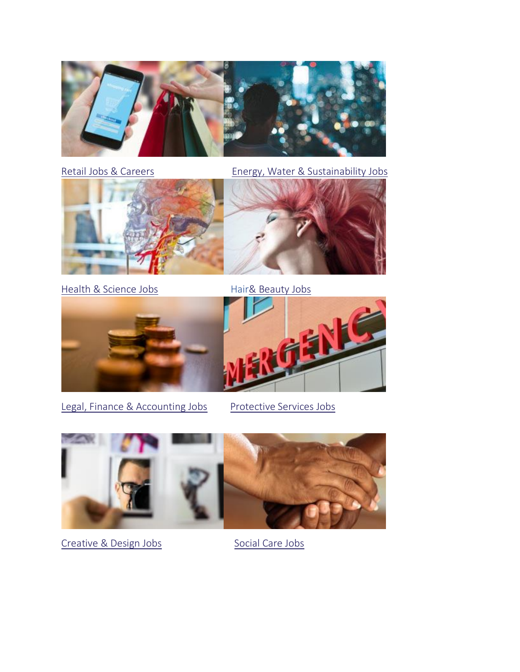

[Retail Jobs & Careers](https://www.youthemployment.org.uk/careers-hub-sector/retail-jobs-careers/) **[Energy, Water & Sustainability Jobs](https://www.youthemployment.org.uk/careers-hub-sector/energy-water-sustainability-jobs/)** 



[Health & Science Jobs](https://www.youthemployment.org.uk/careers-hub-sector/health-and-science/) Hai[r& Beauty Jobs](https://www.youthemployment.org.uk/careers-hub-sector/hair-and-beauty/)





[Legal, Finance & Accounting Jobs](https://www.youthemployment.org.uk/careers-hub-sector/legal-finance-and-accounting/) [Protective Services Jobs](https://www.youthemployment.org.uk/careers-hub-sector/protective-services/)





[Creative & Design Jobs](https://www.youthemployment.org.uk/careers-hub-sector/creative-and-design/) [Social Care Jobs](https://www.youthemployment.org.uk/careers-hub-sector/social-care/)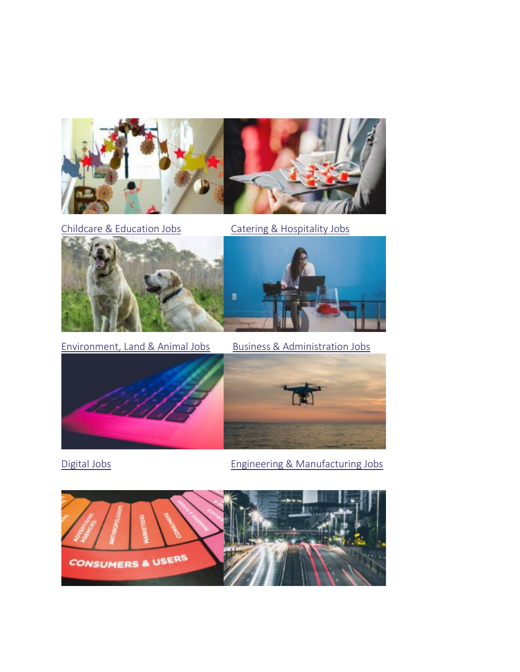

[Childcare & Education Jobs](https://www.youthemployment.org.uk/careers-hub-sector/childcare-and-education/) [Catering & Hospitality Jobs](https://www.youthemployment.org.uk/careers-hub-sector/catering-and-hospitality/)



Environment, [Land & Animal Jobs](https://www.youthemployment.org.uk/careers-hub-sector/agriculture-environmental-and-animal-care/) [Business & Administration Jobs](https://www.youthemployment.org.uk/careers-hub-sector/business-and-administrative/)